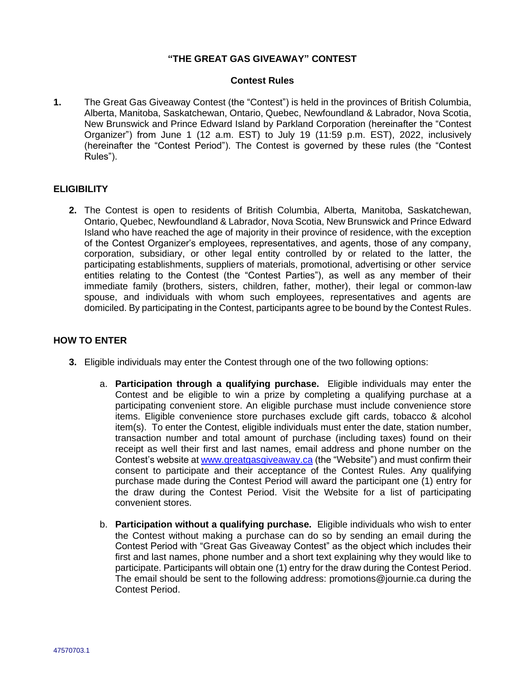# **"THE GREAT GAS GIVEAWAY" CONTEST**

#### **Contest Rules**

**1.** The Great Gas Giveaway Contest (the "Contest") is held in the provinces of British Columbia, Alberta, Manitoba, Saskatchewan, Ontario, Quebec, Newfoundland & Labrador, Nova Scotia, New Brunswick and Prince Edward Island by Parkland Corporation (hereinafter the "Contest Organizer") from June 1 (12 a.m. EST) to July 19 (11:59 p.m. EST), 2022, inclusively (hereinafter the "Contest Period"). The Contest is governed by these rules (the "Contest Rules").

### **ELIGIBILITY**

**2.** The Contest is open to residents of British Columbia, Alberta, Manitoba, Saskatchewan, Ontario, Quebec, Newfoundland & Labrador, Nova Scotia, New Brunswick and Prince Edward Island who have reached the age of majority in their province of residence, with the exception of the Contest Organizer's employees, representatives, and agents, those of any company, corporation, subsidiary, or other legal entity controlled by or related to the latter, the participating establishments, suppliers of materials, promotional, advertising or other service entities relating to the Contest (the "Contest Parties"), as well as any member of their immediate family (brothers, sisters, children, father, mother), their legal or common-law spouse, and individuals with whom such employees, representatives and agents are domiciled. By participating in the Contest, participants agree to be bound by the Contest Rules.

# **HOW TO ENTER**

- **3.** Eligible individuals may enter the Contest through one of the two following options:
	- a. **Participation through a qualifying purchase.** Eligible individuals may enter the Contest and be eligible to win a prize by completing a qualifying purchase at a participating convenient store. An eligible purchase must include convenience store items. Eligible convenience store purchases exclude gift cards, tobacco & alcohol item(s). To enter the Contest, eligible individuals must enter the date, station number, transaction number and total amount of purchase (including taxes) found on their receipt as well their first and last names, email address and phone number on the Contest's website a[t www.greatgasgiveaway.ca](http://www.greatgasgiveaway.ca/) (the "Website") and must confirm their consent to participate and their acceptance of the Contest Rules. Any qualifying purchase made during the Contest Period will award the participant one (1) entry for the draw during the Contest Period. Visit the Website for a list of participating convenient stores.
	- b. **Participation without a qualifying purchase.** Eligible individuals who wish to enter the Contest without making a purchase can do so by sending an email during the Contest Period with "Great Gas Giveaway Contest" as the object which includes their first and last names, phone number and a short text explaining why they would like to participate. Participants will obtain one (1) entry for the draw during the Contest Period. The email should be sent to the following address: promotions@journie.ca during the Contest Period.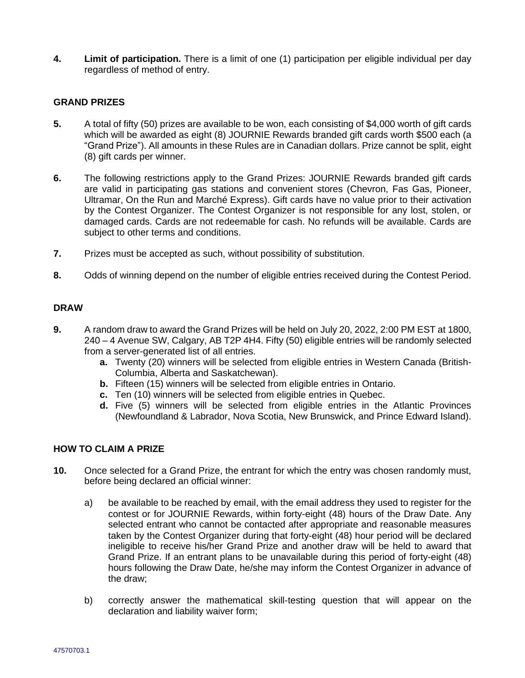**4. Limit of participation.** There is a limit of one (1) participation per eligible individual per day regardless of method of entry.

### **GRAND PRIZES**

- **5.** A total of fifty (50) prizes are available to be won, each consisting of \$4,000 worth of gift cards which will be awarded as eight (8) JOURNIE Rewards branded gift cards worth \$500 each (a "Grand Prize"). All amounts in these Rules are in Canadian dollars. Prize cannot be split, eight (8) gift cards per winner.
- **6.** The following restrictions apply to the Grand Prizes: JOURNIE Rewards branded gift cards are valid in participating gas stations and convenient stores (Chevron, Fas Gas, Pioneer, Ultramar, On the Run and Marché Express). Gift cards have no value prior to their activation by the Contest Organizer. The Contest Organizer is not responsible for any lost, stolen, or damaged cards. Cards are not redeemable for cash. No refunds will be available. Cards are subject to other terms and conditions.
- **7.** Prizes must be accepted as such, without possibility of substitution.
- **8.** Odds of winning depend on the number of eligible entries received during the Contest Period.

### **DRAW**

- **9.** A random draw to award the Grand Prizes will be held on July 20, 2022, 2:00 PM EST at 1800, 240 – 4 Avenue SW, Calgary, AB T2P 4H4. Fifty (50) eligible entries will be randomly selected from a server-generated list of all entries.
	- **a.** Twenty (20) winners will be selected from eligible entries in Western Canada (British-Columbia, Alberta and Saskatchewan).
	- **b.** Fifteen (15) winners will be selected from eligible entries in Ontario.
	- **c.** Ten (10) winners will be selected from eligible entries in Quebec.
	- **d.** Five (5) winners will be selected from eligible entries in the Atlantic Provinces (Newfoundland & Labrador, Nova Scotia, New Brunswick, and Prince Edward Island).

### **HOW TO CLAIM A PRIZE**

- **10.** Once selected for a Grand Prize, the entrant for which the entry was chosen randomly must, before being declared an official winner:
	- a) be available to be reached by email, with the email address they used to register for the contest or for JOURNIE Rewards, within forty-eight (48) hours of the Draw Date. Any selected entrant who cannot be contacted after appropriate and reasonable measures taken by the Contest Organizer during that forty-eight (48) hour period will be declared ineligible to receive his/her Grand Prize and another draw will be held to award that Grand Prize. If an entrant plans to be unavailable during this period of forty-eight (48) hours following the Draw Date, he/she may inform the Contest Organizer in advance of the draw;
	- b) correctly answer the mathematical skill-testing question that will appear on the declaration and liability waiver form;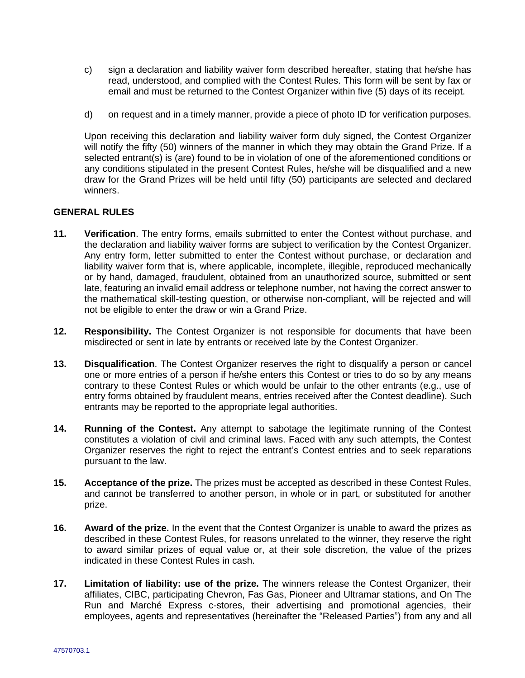- c) sign a declaration and liability waiver form described hereafter, stating that he/she has read, understood, and complied with the Contest Rules. This form will be sent by fax or email and must be returned to the Contest Organizer within five (5) days of its receipt.
- d) on request and in a timely manner, provide a piece of photo ID for verification purposes.

Upon receiving this declaration and liability waiver form duly signed, the Contest Organizer will notify the fifty (50) winners of the manner in which they may obtain the Grand Prize. If a selected entrant(s) is (are) found to be in violation of one of the aforementioned conditions or any conditions stipulated in the present Contest Rules, he/she will be disqualified and a new draw for the Grand Prizes will be held until fifty (50) participants are selected and declared winners.

## **GENERAL RULES**

- **11. Verification**. The entry forms, emails submitted to enter the Contest without purchase, and the declaration and liability waiver forms are subject to verification by the Contest Organizer. Any entry form, letter submitted to enter the Contest without purchase, or declaration and liability waiver form that is, where applicable, incomplete, illegible, reproduced mechanically or by hand, damaged, fraudulent, obtained from an unauthorized source, submitted or sent late, featuring an invalid email address or telephone number, not having the correct answer to the mathematical skill-testing question, or otherwise non-compliant, will be rejected and will not be eligible to enter the draw or win a Grand Prize.
- **12. Responsibility.** The Contest Organizer is not responsible for documents that have been misdirected or sent in late by entrants or received late by the Contest Organizer.
- **13. Disqualification**. The Contest Organizer reserves the right to disqualify a person or cancel one or more entries of a person if he/she enters this Contest or tries to do so by any means contrary to these Contest Rules or which would be unfair to the other entrants (e.g., use of entry forms obtained by fraudulent means, entries received after the Contest deadline). Such entrants may be reported to the appropriate legal authorities.
- **14. Running of the Contest.** Any attempt to sabotage the legitimate running of the Contest constitutes a violation of civil and criminal laws. Faced with any such attempts, the Contest Organizer reserves the right to reject the entrant's Contest entries and to seek reparations pursuant to the law.
- **15. Acceptance of the prize.** The prizes must be accepted as described in these Contest Rules, and cannot be transferred to another person, in whole or in part, or substituted for another prize.
- **16. Award of the prize.** In the event that the Contest Organizer is unable to award the prizes as described in these Contest Rules, for reasons unrelated to the winner, they reserve the right to award similar prizes of equal value or, at their sole discretion, the value of the prizes indicated in these Contest Rules in cash.
- **17. Limitation of liability: use of the prize.** The winners release the Contest Organizer, their affiliates, CIBC, participating Chevron, Fas Gas, Pioneer and Ultramar stations, and On The Run and Marché Express c-stores, their advertising and promotional agencies, their employees, agents and representatives (hereinafter the "Released Parties") from any and all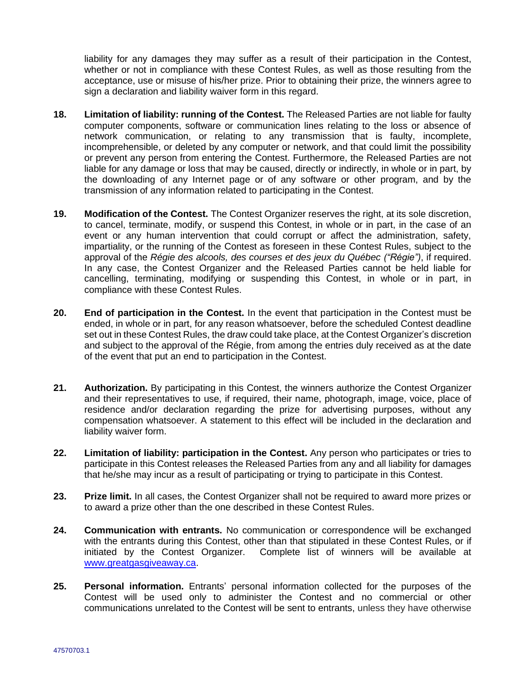liability for any damages they may suffer as a result of their participation in the Contest, whether or not in compliance with these Contest Rules, as well as those resulting from the acceptance, use or misuse of his/her prize. Prior to obtaining their prize, the winners agree to sign a declaration and liability waiver form in this regard.

- **18. Limitation of liability: running of the Contest.** The Released Parties are not liable for faulty computer components, software or communication lines relating to the loss or absence of network communication, or relating to any transmission that is faulty, incomplete, incomprehensible, or deleted by any computer or network, and that could limit the possibility or prevent any person from entering the Contest. Furthermore, the Released Parties are not liable for any damage or loss that may be caused, directly or indirectly, in whole or in part, by the downloading of any Internet page or of any software or other program, and by the transmission of any information related to participating in the Contest.
- **19. Modification of the Contest.** The Contest Organizer reserves the right, at its sole discretion, to cancel, terminate, modify, or suspend this Contest, in whole or in part, in the case of an event or any human intervention that could corrupt or affect the administration, safety, impartiality, or the running of the Contest as foreseen in these Contest Rules, subject to the approval of the *Régie des alcools, des courses et des jeux du Québec ("Régie")*, if required. In any case, the Contest Organizer and the Released Parties cannot be held liable for cancelling, terminating, modifying or suspending this Contest, in whole or in part, in compliance with these Contest Rules.
- **20. End of participation in the Contest.** In the event that participation in the Contest must be ended, in whole or in part, for any reason whatsoever, before the scheduled Contest deadline set out in these Contest Rules, the draw could take place, at the Contest Organizer's discretion and subject to the approval of the Régie, from among the entries duly received as at the date of the event that put an end to participation in the Contest.
- **21. Authorization.** By participating in this Contest, the winners authorize the Contest Organizer and their representatives to use, if required, their name, photograph, image, voice, place of residence and/or declaration regarding the prize for advertising purposes, without any compensation whatsoever. A statement to this effect will be included in the declaration and liability waiver form.
- **22. Limitation of liability: participation in the Contest.** Any person who participates or tries to participate in this Contest releases the Released Parties from any and all liability for damages that he/she may incur as a result of participating or trying to participate in this Contest.
- **23. Prize limit.** In all cases, the Contest Organizer shall not be required to award more prizes or to award a prize other than the one described in these Contest Rules.
- **24. Communication with entrants.** No communication or correspondence will be exchanged with the entrants during this Contest, other than that stipulated in these Contest Rules, or if initiated by the Contest Organizer. Complete list of winners will be available at [www.greatgasgiveaway.ca.](http://www.greatgasgiveaway.ca/)
- **25. Personal information.** Entrants' personal information collected for the purposes of the Contest will be used only to administer the Contest and no commercial or other communications unrelated to the Contest will be sent to entrants, unless they have otherwise